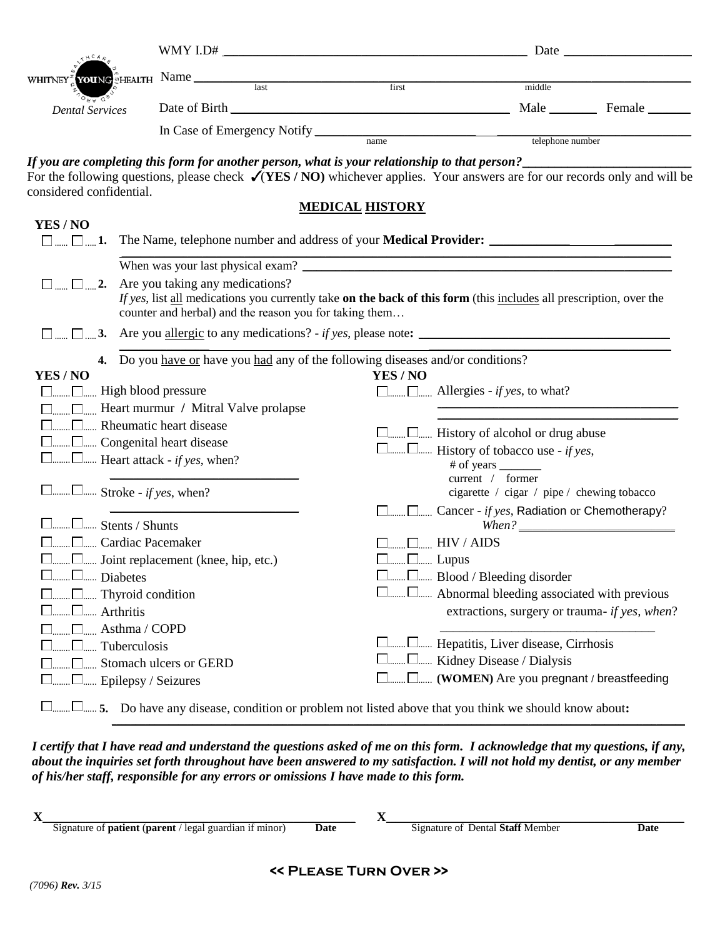| $R H C A \rho$                                                                                                                                                                                                                          |                                                                                                                                                                                                                                  |                                                                                                                                                                                                           |                                                                                          |                        |        |                                                                                                                                                                                                                                                                                                                                                                                                                                                                                                                                                                                                                                                                                                                      | WMY I.D# $\qquad \qquad$ Date $\qquad \qquad$ Date $\qquad \qquad$ |  |
|-----------------------------------------------------------------------------------------------------------------------------------------------------------------------------------------------------------------------------------------|----------------------------------------------------------------------------------------------------------------------------------------------------------------------------------------------------------------------------------|-----------------------------------------------------------------------------------------------------------------------------------------------------------------------------------------------------------|------------------------------------------------------------------------------------------|------------------------|--------|----------------------------------------------------------------------------------------------------------------------------------------------------------------------------------------------------------------------------------------------------------------------------------------------------------------------------------------------------------------------------------------------------------------------------------------------------------------------------------------------------------------------------------------------------------------------------------------------------------------------------------------------------------------------------------------------------------------------|--------------------------------------------------------------------|--|
| WHITNEY                                                                                                                                                                                                                                 |                                                                                                                                                                                                                                  |                                                                                                                                                                                                           |                                                                                          |                        |        |                                                                                                                                                                                                                                                                                                                                                                                                                                                                                                                                                                                                                                                                                                                      |                                                                    |  |
|                                                                                                                                                                                                                                         |                                                                                                                                                                                                                                  |                                                                                                                                                                                                           | $\sum_{k=1}^{n}$ <b>YOU</b> NG $\sum_{k=1}^{n}$ <b>HEALTH</b> Name $\sum_{k=1}^{n}$ Name |                        |        | middle                                                                                                                                                                                                                                                                                                                                                                                                                                                                                                                                                                                                                                                                                                               |                                                                    |  |
| <b>Dental Services</b>                                                                                                                                                                                                                  |                                                                                                                                                                                                                                  |                                                                                                                                                                                                           |                                                                                          |                        |        |                                                                                                                                                                                                                                                                                                                                                                                                                                                                                                                                                                                                                                                                                                                      |                                                                    |  |
|                                                                                                                                                                                                                                         |                                                                                                                                                                                                                                  |                                                                                                                                                                                                           |                                                                                          |                        |        |                                                                                                                                                                                                                                                                                                                                                                                                                                                                                                                                                                                                                                                                                                                      |                                                                    |  |
|                                                                                                                                                                                                                                         |                                                                                                                                                                                                                                  |                                                                                                                                                                                                           |                                                                                          |                        |        |                                                                                                                                                                                                                                                                                                                                                                                                                                                                                                                                                                                                                                                                                                                      |                                                                    |  |
| considered confidential.                                                                                                                                                                                                                |                                                                                                                                                                                                                                  |                                                                                                                                                                                                           |                                                                                          |                        |        | If you are completing this form for another person, what is your relationship to that person?<br>For the following questions, please check $\sqrt{(YES/NO)}$ whichever applies. Your answers are for our records only and will be                                                                                                                                                                                                                                                                                                                                                                                                                                                                                    |                                                                    |  |
|                                                                                                                                                                                                                                         |                                                                                                                                                                                                                                  |                                                                                                                                                                                                           |                                                                                          | <b>MEDICAL HISTORY</b> |        |                                                                                                                                                                                                                                                                                                                                                                                                                                                                                                                                                                                                                                                                                                                      |                                                                    |  |
| YES / NO                                                                                                                                                                                                                                |                                                                                                                                                                                                                                  |                                                                                                                                                                                                           |                                                                                          |                        |        |                                                                                                                                                                                                                                                                                                                                                                                                                                                                                                                                                                                                                                                                                                                      |                                                                    |  |
|                                                                                                                                                                                                                                         |                                                                                                                                                                                                                                  |                                                                                                                                                                                                           |                                                                                          |                        |        |                                                                                                                                                                                                                                                                                                                                                                                                                                                                                                                                                                                                                                                                                                                      |                                                                    |  |
|                                                                                                                                                                                                                                         | $\Box$ $\Box$ 2. Are you taking any medications?<br>If yes, list all medications you currently take on the back of this form (this includes all prescription, over the<br>counter and herbal) and the reason you for taking them |                                                                                                                                                                                                           |                                                                                          |                        |        |                                                                                                                                                                                                                                                                                                                                                                                                                                                                                                                                                                                                                                                                                                                      |                                                                    |  |
| $\Box$ $\Box$ $\Box$ $\Box$ $\Box$ $\Box$                                                                                                                                                                                               | Are you <u>allergic</u> to any medications? - if yes, please note:                                                                                                                                                               |                                                                                                                                                                                                           |                                                                                          |                        |        |                                                                                                                                                                                                                                                                                                                                                                                                                                                                                                                                                                                                                                                                                                                      |                                                                    |  |
| YES / NO<br>$\Box$ $\Box$ High blood pressure<br>$\Box$ $\Box$ Stroke - if yes, when?<br>$\square$ Stents / Shunts<br><sup>[1]</sup> Cardiac Pacemaker<br>□□ Joint replacement (knee, hip, etc.)<br>L Diabetes<br>□ Epilepsy / Seizures | Arthritis<br>Asthma / COPD<br>Tuberculosis                                                                                                                                                                                       | □ Heart murmur / Mitral Valve prolapse<br>$\Box$ Rheumatic heart disease<br>Congenital heart disease<br>$\Box$ Heart attack - <i>if yes</i> , when?<br>Thyroid condition<br>$\Box$ Stomach ulcers or GERD |                                                                                          |                        | YES/NO | 4. Do you have or have you had any of the following diseases and/or conditions?<br>$\Box$ $\Box$ Allergies - if yes, to what?<br>$\square$ History of alcohol or drug abuse<br>$\Box$ $\Box$ History of tobacco use - if yes,<br># of years ________<br>current / former<br>cigarette / cigar / pipe / chewing tobacco<br>□  □  Cancer - if yes, Radiation or Chemotherapy?<br>$When ? \_\_$<br>$\Box$ $\Box$ HIV / AIDS<br>$\square$ $\square$ Lupus<br>□ Blood / Bleeding disorder<br>□□ Abnormal bleeding associated with previous<br>extractions, surgery or trauma- if yes, when?<br>□  □  Hepatitis, Liver disease, Cirrhosis<br>□ □  Kidney Disease / Dialysis<br>[  (WOMEN) Are you pregnant / breastfeeding |                                                                    |  |
| $\Box$ $\Box$ 5. Do have any disease, condition or problem not listed above that you think we should know about:                                                                                                                        |                                                                                                                                                                                                                                  |                                                                                                                                                                                                           |                                                                                          |                        |        |                                                                                                                                                                                                                                                                                                                                                                                                                                                                                                                                                                                                                                                                                                                      |                                                                    |  |

*I certify that I have read and understand the questions asked of me on this form. I acknowledge that my questions, if any, about the inquiries set forth throughout have been answered to my satisfaction. I will not hold my dentist, or any member of his/her staff, responsible for any errors or omissions I have made to this form.*

| -43 |                                                                        |      |                                  |      |
|-----|------------------------------------------------------------------------|------|----------------------------------|------|
|     | Signature of <b>patient</b> ( <b>parent</b> / legal guardian if minor) | Date | Signature of Dental Staff Member | Date |
|     |                                                                        |      |                                  |      |
|     |                                                                        |      |                                  |      |
|     |                                                                        |      |                                  |      |